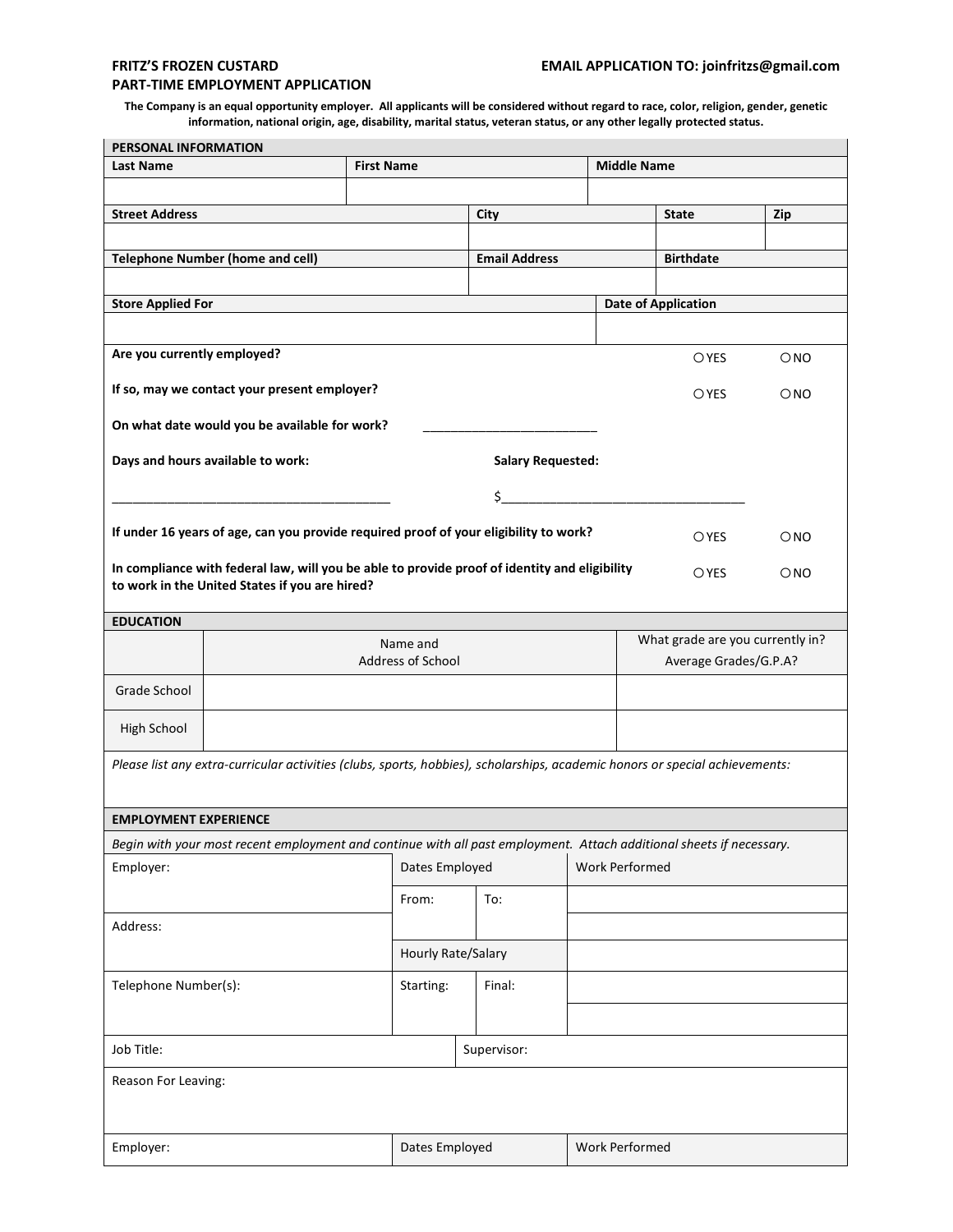## **PART-TIME EMPLOYMENT APPLICATION**

**The Company is an equal opportunity employer. All applicants will be considered without regard to race, color, religion, gender, genetic information, national origin, age, disability, marital status, veteran status, or any other legally protected status.**

| PERSONAL INFORMATION                                                                                                         |                                                                                       |                   |                            |                    |                       |                                                           |  |  |  |
|------------------------------------------------------------------------------------------------------------------------------|---------------------------------------------------------------------------------------|-------------------|----------------------------|--------------------|-----------------------|-----------------------------------------------------------|--|--|--|
| <b>Last Name</b>                                                                                                             |                                                                                       | <b>First Name</b> |                            | <b>Middle Name</b> |                       |                                                           |  |  |  |
|                                                                                                                              |                                                                                       |                   |                            |                    |                       |                                                           |  |  |  |
| <b>Street Address</b>                                                                                                        |                                                                                       |                   | City                       |                    | <b>State</b>          | Zip                                                       |  |  |  |
|                                                                                                                              |                                                                                       |                   |                            |                    |                       |                                                           |  |  |  |
| <b>Telephone Number (home and cell)</b>                                                                                      |                                                                                       |                   | <b>Email Address</b>       |                    | <b>Birthdate</b>      |                                                           |  |  |  |
|                                                                                                                              |                                                                                       |                   |                            |                    |                       |                                                           |  |  |  |
| <b>Store Applied For</b>                                                                                                     |                                                                                       |                   | <b>Date of Application</b> |                    |                       |                                                           |  |  |  |
|                                                                                                                              |                                                                                       |                   |                            |                    |                       |                                                           |  |  |  |
| Are you currently employed?                                                                                                  |                                                                                       |                   |                            |                    | OYES                  | $\bigcirc$ NO                                             |  |  |  |
| If so, may we contact your present employer?                                                                                 |                                                                                       |                   |                            |                    | <b>OYES</b>           | $\bigcirc$ NO                                             |  |  |  |
| On what date would you be available for work?                                                                                |                                                                                       |                   |                            |                    |                       |                                                           |  |  |  |
| Days and hours available to work:<br><b>Salary Requested:</b>                                                                |                                                                                       |                   |                            |                    |                       |                                                           |  |  |  |
| \$_                                                                                                                          |                                                                                       |                   |                            |                    |                       |                                                           |  |  |  |
|                                                                                                                              | If under 16 years of age, can you provide required proof of your eligibility to work? |                   | OYES                       | $\bigcirc$ NO      |                       |                                                           |  |  |  |
| In compliance with federal law, will you be able to provide proof of identity and eligibility                                |                                                                                       |                   |                            |                    |                       |                                                           |  |  |  |
|                                                                                                                              | to work in the United States if you are hired?                                        |                   | <b>OYES</b>                | $\bigcirc$ NO      |                       |                                                           |  |  |  |
|                                                                                                                              |                                                                                       |                   |                            |                    |                       |                                                           |  |  |  |
| <b>EDUCATION</b>                                                                                                             |                                                                                       |                   |                            |                    |                       |                                                           |  |  |  |
|                                                                                                                              |                                                                                       | Address of School | Name and                   |                    |                       | What grade are you currently in?<br>Average Grades/G.P.A? |  |  |  |
| Grade School                                                                                                                 |                                                                                       |                   |                            |                    |                       |                                                           |  |  |  |
|                                                                                                                              |                                                                                       |                   |                            |                    |                       |                                                           |  |  |  |
| High School                                                                                                                  |                                                                                       |                   |                            |                    |                       |                                                           |  |  |  |
| Please list any extra-curricular activities (clubs, sports, hobbies), scholarships, academic honors or special achievements: |                                                                                       |                   |                            |                    |                       |                                                           |  |  |  |
|                                                                                                                              |                                                                                       |                   |                            |                    |                       |                                                           |  |  |  |
| <b>EMPLOYMENT EXPERIENCE</b>                                                                                                 |                                                                                       |                   |                            |                    |                       |                                                           |  |  |  |
| Begin with your most recent employment and continue with all past employment. Attach additional sheets if necessary.         |                                                                                       |                   |                            |                    |                       |                                                           |  |  |  |
| Employer:                                                                                                                    |                                                                                       |                   | Dates Employed             |                    | <b>Work Performed</b> |                                                           |  |  |  |
|                                                                                                                              |                                                                                       | From:             | To:                        |                    |                       |                                                           |  |  |  |
| Address:                                                                                                                     |                                                                                       |                   |                            |                    |                       |                                                           |  |  |  |
|                                                                                                                              |                                                                                       |                   | Hourly Rate/Salary         |                    |                       |                                                           |  |  |  |
| Telephone Number(s):                                                                                                         |                                                                                       | Starting:         | Final:                     |                    |                       |                                                           |  |  |  |
|                                                                                                                              |                                                                                       |                   |                            |                    |                       |                                                           |  |  |  |
| Job Title:                                                                                                                   |                                                                                       |                   | Supervisor:                |                    |                       |                                                           |  |  |  |
| Reason For Leaving:                                                                                                          |                                                                                       |                   |                            |                    |                       |                                                           |  |  |  |
|                                                                                                                              |                                                                                       |                   |                            |                    |                       |                                                           |  |  |  |
| Employer:                                                                                                                    |                                                                                       |                   | Dates Employed             |                    | Work Performed        |                                                           |  |  |  |